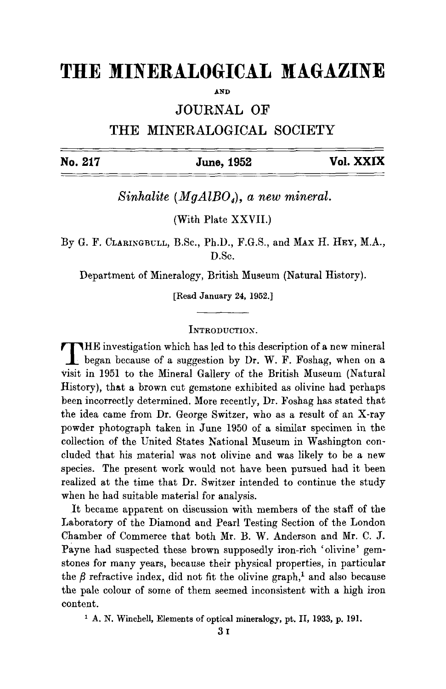# **THE MINERALOGICAL MAGAZINE**

**AND** 

JOURNAL OF

THE MINERALOGICAL SOCIETY

| No. 217 | June, 1952 | Vol. XXIX |
|---------|------------|-----------|
|         |            |           |

*Sinhalite (MgA1B04), a new mineral.* 

(With Plate XXVII.)

By G. F. CLARINGBULL, B.Sc., Ph.D., F.G.S., and MAx H. HEY, M.A., D.Sc.

Department of Mineralogy, British Museum (Natural History).

[Read January 24, 1952.]

## INTRODUCTION.

THE investigation which has led to this description of a new mineral began because of a suggestion by Dr. W. F. Foshag, when on a Visit in 1951 to the Mineral Gallery of the British Museum (Natural History), that a brown cut gemstone exhibited as olivine had perhaps been incorrectly determined. More recently, Dr. Foshag has stated that the idea came from Dr. George Switzer, who as a result of an X-ray powder photograph taken in June 1950 of a similar specimen in the collection of the United States National Museum in Washington concluded that his material was not olivine and was likely to be a new species. The present work would not have been pursued had it been realized at the time that Dr. Switzer intended to continue the study when he had suitable material for analysis.

It became apparent on discussion with members of the staff of the Laboratory of the Diamond and Pearl Testing Section of the London Chamber of Commerce that both Mr. B. W. Anderson and Mr. C. J. Payne had suspected these brown supposedly iron-rich 'olivine' gemstones for many years, because their physical properties, in particular the  $\beta$  refractive index, did not fit the olivine graph,<sup>1</sup> and also because the pale colour of some of them seemed inconsistent with a high iron content.

i A. N. Winchell, Elements of optical mineralogy, pt. II, 1933, p. 191.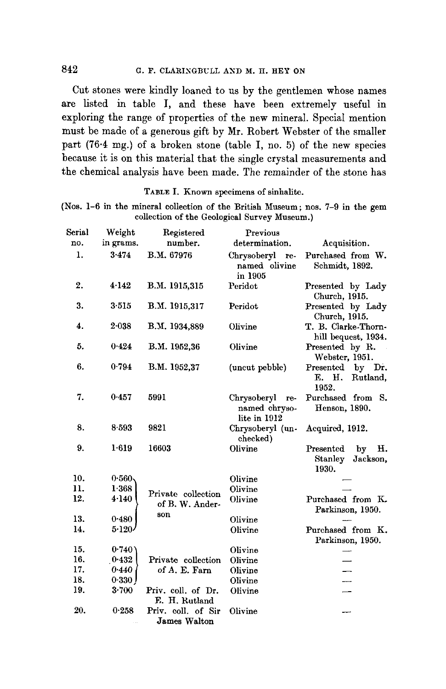# 842 G.F. CLARINGBULL AND M.H. HEY ON

Cut stones were kindly loaned to us by the gentlemen whose names are listed in table I, and these have been extremely useful in exploring the range of properties of the new mineral. Special mention must be made of a generous gift by Mr. Robert Webster of the smaller part (76.4 mg.) of a broken stone (table I, no. 5) of the new species because it is on this material that the single crystal measurements and the chemical analysis have been made. The remainder of the stone has

TABLE I. Known specimens of sinhalite.

(Nos. 1-6 in the mineral collection of the British Museum; nos. 7-9 in the gem collection of the Geological Survey Museum.)

| Serial | Weight    | Registered                          | Previous                                            |                                                       |
|--------|-----------|-------------------------------------|-----------------------------------------------------|-------------------------------------------------------|
| no.    | in grams. | number.                             | determination.                                      | Acquisition.                                          |
| 1.     | 3.474     | B.M. 67976                          | Chrysoberyl<br>re-<br>named olivine<br>in 1905      | Purchased from W.<br>Schmidt, 1892.                   |
| 2.     | 4.142     | B.M. 1915,315                       | Peridot                                             | Presented by Lady<br>Church, 1915.                    |
| 3.     | 3.515     | B.M. 1915,317                       | Peridot                                             | Presented by Lady<br>Church, 1915.                    |
| 4.     | 2.038     | B.M. 1934,889                       | Olivine                                             | T. B. Clarke-Thorn-<br>hill bequest, 1934.            |
| 5.     | 0.424     | B.M. 1952.36                        | Olivine                                             | Presented by R.<br>Webster, 1951.                     |
| 6.     | 0.794     | B.M. 1952,37                        | (uncut pebble)                                      | Presented by Dr.<br>Е. Н.<br>Rutland,<br>1952.        |
| 7.     | 0.457     | 599I                                | Chrysoberyl<br>re-<br>named chryso-<br>lite in 1912 | Purchased from S.<br>Henson, 1890.                    |
| 8.     | 8.593     | 9821                                | Chrysoberyl (un-<br>checked)                        | Acquired, 1912.                                       |
| 9.     | $1 - 619$ | 16603                               | Olivine                                             | Presented<br>by<br>н.<br>Stanley<br>Jackson,<br>1930. |
| 10.    | 0.560     |                                     | Olivine                                             |                                                       |
| 11.    | 1.368     | Private collection                  | Olivine                                             |                                                       |
| 12.    | 4.140     | of B. W. Ander-<br>son              | Olivine                                             | Purchased from K.<br>Parkinson, 1950.                 |
| 13.    | 0.480     |                                     | Olivine                                             |                                                       |
| 14.    | $5 - 120$ |                                     | Olivine                                             | Purchased from K.<br>Parkinson, 1950.                 |
| 15.    | 0.740     |                                     | Olivine                                             |                                                       |
| 16.    | 0.432     | Private collection                  | Olivine                                             |                                                       |
| 17.    | 0.440     | of A. E. Farn                       | Olivine                                             |                                                       |
| 18.    | $0.330$ J |                                     | Olivine                                             |                                                       |
| 19.    | 3.700     | Priv. coll. of Dr.<br>E. H. Rutland | Olivine                                             |                                                       |
| 20.    | 0.258     | Priv. coll. of Sir<br>James Walton  | Olivine                                             |                                                       |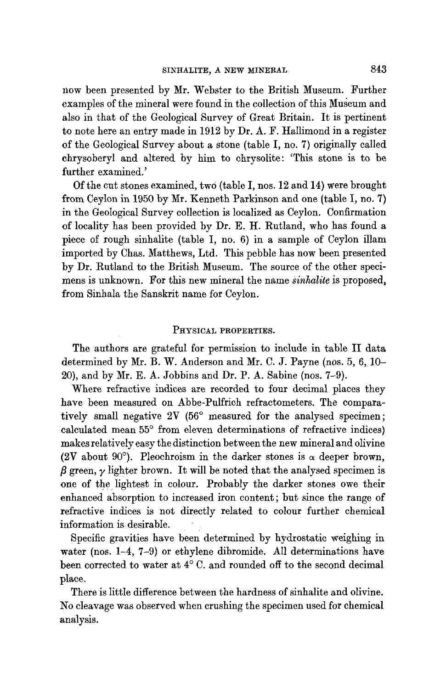now been presented by Mr. Webster to the British Museum. Further examples of the mineral were found in the collection of this Museum and also in that of the Geological Survey of Great Britain. It is pertinent to note here an entry made in 1912 by Dr. A. F. Hallimond in a register of the Geological Survey about a stone (table I, no. 7) originally called chrysoberyl and altered by him to chrysolite: 'This stone is to be further examined.'

Of the cut stones examined, two (table I, nos. 12 and 14) were brought from Ceylon in 1950 by Mr. Kenneth Parkinson and one (table I, no. 7) in the Geological Survey collection is localized as Ceylon. Confirmation of locality has been provided by Dr. E. H. Rutland, who has found a piece of rough sinhalite (table I, no. 6) in a sample of Ceylon fllam imported by Chas. Matthews, Ltd. This pebble has now been presented by Dr. Rutland to the British Museum. The source of the other specimens is unknown. For this new mineral the name *Sinhalite* is proposed, from Sinhala the Sanskrit name for Ceylon.

### PHYSICAL PROPERTIES.

The authors are grateful for permission to include in table II data determined by Mr. B. W. Anderson and Mr. C. J. Payne (nos. 5, 6, 10- 20), and by Mr. E. A. Jobbins and Dr. P. A. Sabine (nos. 7-9).

Where refractive indices are recorded to four decimal places they have been measured on Abbe-Pulfrich refractometers. The comparatively small negative  $2V$  (56 $^{\circ}$  measured for the analysed specimen; calculated mean 55° from eleven determinations of refractive indices) makes relatively easy the distinction between the new mineral and olivine (2V about 90 $^{\circ}$ ). Pleochroism in the darker stones is  $\alpha$  deeper brown,  $\beta$  green,  $\gamma$  lighter brown. It will be noted that the analysed specimen is one of the lightest in colour. Probably the darker stones owe their enhanced absorption to increased iron content; but since the range of refractive indices is not directly related to colour further chemical information is desirable.

Specific gravities have been determined by hydrostatic weighing in water (nos. 1-4, 7-9) or ethylene dibromide. All determinations have been corrected to water at  $4^{\circ}$  C. and rounded off to the second decimal place.

There is little difference between the hardness of sinhalite and olivine. No cleavage was observed when crushing the specimen used for chemical analysis.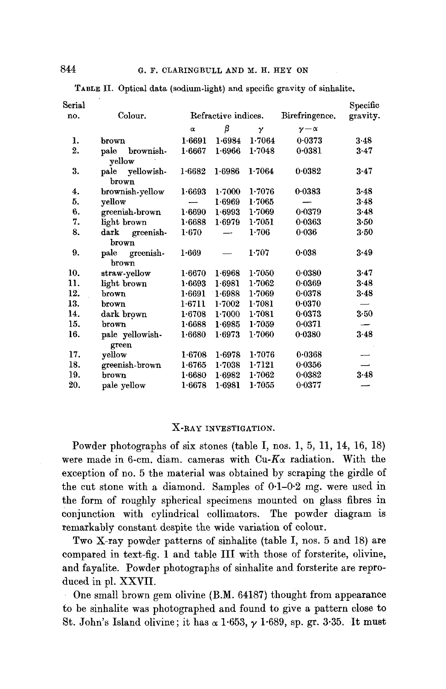|                                       |           |        |        |                     | Specific |
|---------------------------------------|-----------|--------|--------|---------------------|----------|
| Colour.                               |           |        |        | Birefringence.      | gravity. |
|                                       | $\alpha$  | β      | γ      | $\nu-\alpha$        |          |
| brown                                 | 1.6691    | 1.6984 | 1.7064 | 0.0373              | 3.48     |
| $_{\rm{pale}}$<br>brownish-<br>vellow | 1.6667    | 1.6966 | 1.7048 | 0.0381              | $3 - 47$ |
| pale yellowish-<br>brown              | 1.6682    | 1.6986 | 1.7064 | 0.0382              | $3 - 47$ |
| brownish-yellow                       | 1.6693    | 1.7000 | 1.7076 | 0.0383              | 3.48     |
| vellow                                |           | 1.6969 | 1.7065 |                     | $3-48$   |
| greenish-brown                        | 1.6690    | 1.6993 | 1.7069 | $0 - 0379$          | 3.48     |
| light brown                           | 1.6688    | 1.6979 | 1.7051 | 0.0363              | 3.50     |
| dark greenish-<br>brown               | $1 - 670$ |        | 1.706  | 0.036               | $3 - 50$ |
| pale greenish-<br>brown               | 1.669     |        | 1.707  | 0.038               | 3.49     |
| straw-yellow                          | 1.6670    | 1.6968 | 1.7050 | 0.0380              | 3.47     |
| light brown                           | 1.6693    | 1.6981 | 1.7062 | 0.0369              | $3 - 48$ |
| brown                                 | 1.6691    | 1.6988 | 1.7069 | 0.0378              | $3 - 48$ |
| brown                                 | 1.6711    | 1.7002 | 1.7081 | 0.0370              |          |
| dark brown                            | 1.6708    | 1.7000 | 1.7081 | 0.0373              | $3-50$   |
| brown                                 | 1.6688    | 1.6985 | 1.7059 | 0.0371              |          |
| pale yellowish-<br>green              | 1.6680    | 1.6973 | 1.7060 | 0.0380              | 3.48     |
| yellow                                | 1.6708    | 1.6978 | 1.7076 | 0.0368              |          |
| greenish-brown                        | 1.6765    | 1.7038 | 1.7121 | 0.0356              |          |
| brown                                 | 1.6680    | 1.6982 | 1.7062 | 0.0382              | 3.48     |
|                                       |           |        |        | Refractive indices. |          |

TABLE II. Optical data (sodium-light) and specific gravity of sinhalite,

#### X-RAY INVESTIGATION.

20. pale yellow 1.6678 1.6981 1-7055 0-0377

Powder photographs of six stones (table I, nos. 1, 5, 11, 14, 16, 18) were made in 6-cm. diam. cameras with  $Cu$ - $K\alpha$  radiation. With the exception of no. 5 the material was obtained by scraping the girdle of the cut stone with a diamond. Samples of  $0.1-0.2$  mg. were used in the form of roughly spherical specimens mounted on glass fibres in conjunction with cylindrical collimators. The powder diagram is remarkably constant despite the wide variation of colour.

Two X-ray powder patterns of sinhalite (table I, nos. 5 and 18) are compared in text-fig. 1 and table III with those of forsterite, olivine, and fayalite. Powder photographs of sinhalite and forsterite are reproduced in pl. XXVII.

One small brown gem olivine (B.M. 64187) thought from appearance to be sinhalite was photographed and found to give a pattern close to St. John's Island olivine; it has  $\alpha$  1.653,  $\gamma$  1.689, sp. gr. 3.35. It must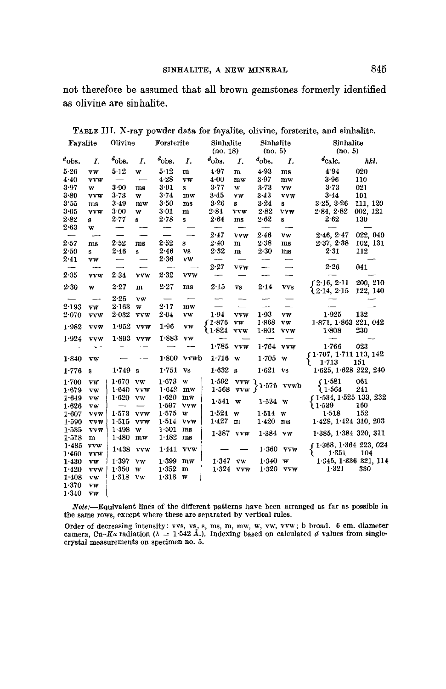not therefore be assumed that all brown gemstones formerly identified as olivine are sinhalite.

| Fayalite                 |                          | Olivine                  |                        | Forsterite               |              | Sinhalite<br>(no. 18)    |              | Sinhalite<br>(no. 5)              |                          | Sinhalite<br>(no. 5)     |                       |
|--------------------------|--------------------------|--------------------------|------------------------|--------------------------|--------------|--------------------------|--------------|-----------------------------------|--------------------------|--------------------------|-----------------------|
| $a$ <sub>obs</sub> .     | Ι.                       | $d$ <sub>obs</sub> .     | Ι.                     | $a_{\text{obs}}$         | Ι.           | $d_{\rm obs.}$           | I.           | a <sub>obs</sub>                  | Ι.                       | $d_{\text{calc.}}$       | hkl.                  |
| 5.26                     | vw                       | 5.12                     | w                      | 5.12                     | m            | 4.97                     | $\mathbf{m}$ | 4.93                              | ms                       | 4.94                     | 020                   |
| 4.40                     | vvw                      |                          |                        | 4.28                     | vw           | 4.00                     | $m$ w        | 3.97                              | $m$ w                    | 3.96                     | 110                   |
| 3.97                     | W                        | 3.90                     | ms                     | 3.91                     | s            | 3.77                     | w            | $3 - 73$                          | VW                       | $3 - 73$                 | 021                   |
| 3.80                     | <b>vvw</b>               | $3 - 73$                 | w                      | $3 - 74$                 | $m$ w        | 3-45                     | VW           | 3.43                              | vvw                      | $3 - 44$                 | 101                   |
| 3.55                     | ms                       | 3.49                     | $m$ w                  | 3.50                     | ms           | 3.26                     | s            | $3 - 24$                          | 8                        | 3.25, 3.26               | 111, 120              |
| 3.05                     | <b>VVW</b>               | $3 - 00$                 | w                      | $3 - 01$                 | m            | 2.84                     | vvw          | 2.82                              | vvw                      | 2.84, 2.82               | 002, 121              |
| 2.82                     | s                        | 2.77                     | s                      | 2.78                     | s            | $2 - 64$                 | ms           | 2.62                              | s                        | 2·62                     | 130                   |
| 2.63                     | W                        |                          |                        |                          |              | $\overline{\phantom{0}}$ |              | $\overline{\phantom{0}}$          | $\overline{\phantom{a}}$ |                          |                       |
| $\overline{\phantom{0}}$ | -                        | —-                       |                        | $\overline{\phantom{0}}$ |              | 2.47                     | <b>VVW</b>   | 2.46                              | VW                       | 2.46, 2.47               | 022, 040              |
| 2.57                     | ms                       | 2.52                     | ms                     | 2.52                     | 8            | 2.40                     | m            | $2 - 38$                          | ms                       | 2.37, 2.38               | 102, 131              |
| 2.50                     | s                        | 2.46                     | s                      | 2.46                     | <b>vs</b>    | 2.32                     | $\mathbf{m}$ | 2.30                              | ms                       | 2.31                     | 112                   |
| $2 - 41$                 | VW                       |                          |                        | 2.36                     | vw           | $\overline{\phantom{m}}$ |              | $\sim$                            | --                       |                          |                       |
| $\overline{\phantom{m}}$ | -                        | $\overline{\phantom{0}}$ |                        |                          |              | 2.27                     | VVW          | -                                 | $\overline{\phantom{0}}$ | $2 - 26$                 | 041                   |
| $2 - 35$                 | <b>VVW</b>               | 2.34                     | vvw                    | 2.32                     | <b>vvw</b>   | --                       |              | $\overline{\phantom{a}}$          | --                       |                          |                       |
|                          |                          |                          |                        |                          |              |                          |              |                                   |                          | f2.16, 2.11              | 200, 210              |
| 2.30                     | w                        | 2.27                     | m                      | $2 - 27$                 | ms           | 2.15                     | Vß           | 2.14                              | <b>VVS</b>               | <b>12-14, 2-15</b>       | 122, 140              |
|                          | $\overline{\phantom{a}}$ | $2 - 25$                 | VW                     |                          |              | -                        |              | ---                               |                          |                          |                       |
| 2.193                    | VŴ                       | 2.163                    | w                      | 2.17                     | mw           | $\overline{\phantom{0}}$ |              | ÷,                                | -                        |                          |                       |
| $2-070$                  | <b>VVW</b>               | 2.032                    | <b>VVW</b>             | 2.04                     | vw           | 1.94                     | vvw          | 1.93                              | $\mathbf{v}\mathbf{w}$   | 1.925                    | 132                   |
|                          |                          |                          |                        |                          |              | f1.876                   | vw           | 1.868                             | ${\bf v}{\bf w}$         | 1.871, 1.863221, 042     |                       |
| 1.982                    | <b>VVW</b>               | 1.952                    | <b>VVW</b>             | 1.96                     | vw           | ો 1∙824                  | <b>VVW</b>   | 1.801                             | <b>VVW</b>               | 1.808                    | 230                   |
| 1.924                    | <b>vvw</b>               | 1.893                    | vyw                    | 1.883                    | <b>VW</b>    | --                       |              |                                   |                          |                          |                       |
|                          |                          |                          |                        |                          |              | 1.785                    | <b>VVW</b>   | $1.764$ vvw                       |                          | 1.766                    | 023                   |
|                          |                          |                          |                        |                          |              |                          |              |                                   |                          | $(1.707, 1.711$ 113, 142 |                       |
| 1.840                    | VW                       |                          |                        | 1.800                    | vvwb         | 1.716                    | W            | 1.705                             | w                        | $1 - 713$                | 151                   |
| 1.776                    | s                        | 1.749                    | s                      | 1.751                    | <b>VS</b>    | 1.632                    | $\mathbf{s}$ | $1.621$ vs                        |                          | 1.625, 1.628 222, 240    |                       |
| 1.700                    | VW                       | 1.670                    | vw                     | 1.673                    | $\mathbf{w}$ | 1.592                    |              | vvw $\, \mathcal{E}_{1\cdot 576}$ |                          | (1.581)                  | 061                   |
| 1.679                    | vw                       | 1.640                    | <b>VVW</b>             | 1.642                    | $m$ w        | $1.568$ vvw f            |              |                                   | vvwb                     | າ 1∙564                  | 241                   |
| 1.649                    | VW                       | 1.620                    | <b>VW</b>              | 1.620                    | mw           |                          |              |                                   |                          | (1.534, 1.525, 133, 232) |                       |
| 1.626                    | VW                       | --                       | ىست                    | 1.597                    | <b>VVW</b>   | 1.541                    | $\mathbf w$  | $1.534$ w                         |                          | ો 1∙539                  | 160                   |
| 1.607                    | <b>VVW</b>               | 1.573                    | <b>VVW</b>             | 1.575                    | W            | 1.524                    | W            | $1.514$ w                         |                          | 1.518                    | 152                   |
| 1.590                    | <b>TVW</b>               | 1.515                    | vvw                    | 1.514                    | <b>VVW</b>   | 1.427                    | m            | 1.420                             | ms                       | 1.428, 1.424, 310, 203   |                       |
| 1.535                    | <b>VVW</b>               | 1.498                    | W                      | 1.501                    | ms           | 1.387                    |              |                                   |                          |                          |                       |
| 1.518                    | m                        | 1.480                    | $\mathbf{m}\mathbf{w}$ | 1.482                    | ms           |                          | <b>VVW</b>   | $1.384$ vw                        |                          | $1.385, 1.384$ 320, 311  |                       |
| 1.485                    | <b>VVW</b>               |                          |                        |                          |              |                          |              |                                   |                          | (1.368, 1.364, 223, 024) |                       |
| 1.460                    | vvw                      | 1.438                    | <b>VVW</b>             | 1.441                    | <b>VVW</b>   |                          |              | 1.360                             | <b>VVW</b>               | 1.351<br>₹               | 104                   |
| 1.430                    | vw                       | 1.397                    | vw                     | 1.399                    | $m$ w        | 1.347                    | vw           | 1.340                             | $\overline{\mathbf{w}}$  |                          | 1.345, 1.336 321, 114 |
| 1.420                    | <b>VVW</b>               | 1.350                    | w                      | 1.352                    | $\mathbf{m}$ |                          | 1.324 vvw    |                                   | $1.320$ vvw              | 1.321                    | 330                   |
| 1.408                    | VW                       | 1.318                    | vw                     | 1.318                    | w            |                          |              |                                   |                          |                          |                       |
| 1.370                    | VW                       |                          |                        |                          |              |                          |              |                                   |                          |                          |                       |
| 1.340                    | <b>VW</b>                |                          |                        |                          |              |                          |              |                                   |                          |                          |                       |

**TABLE III.** X-ray powder data for fayalite, olivine, forsterite, and sinhalite.<br> **Example 18** Sinhalite Sinhalite Sinhalite Sinhalite.

*.Note:--Equivalent* lines of the different patterns have been arranged as far as possible in the same rows, except where these are separated by vertical rules.

Order of decreasing intensity: vvs, vs, s, ms, m, mw, w, vw, vvw; b broad. 6 cm. diameter camera, Cu–K<sub>a</sub> radiation ( $\lambda = 1.542$  Å.). Indexing based on calculated d values from singlecrystal measurements on specimen no. 5.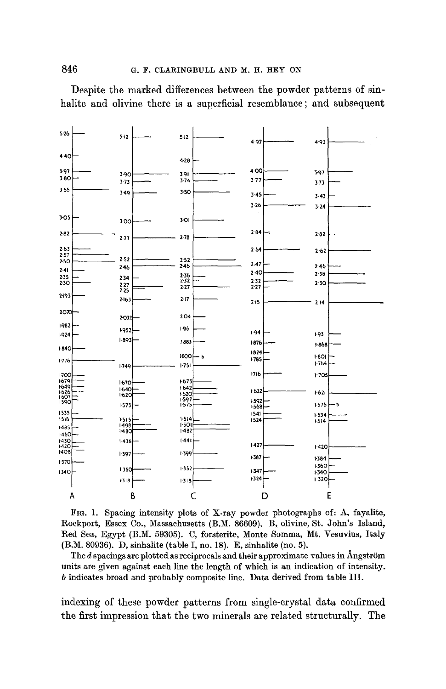Despite the marked differences between the powder patterns of sinhalite and olivine there is a superficial resemblance; and subsequent



FIG. 1. Spacing intensity plots of X-ray powder photographs of: A, fayalite, Rockport, Essex Co., Massachusetts (B.M. 86609), B, olivine, St. John's Island, Red Sea, Egypt (B.M. 59305). C, forsterite, Monte Somma, Mt. Vesuvius, Italy (B.M. 80936). D, sinhalite (table I, no. 18). E, sinhalite (no. 5).

The  $d$  spacings are plotted as reciprocals and their approximate values in Angström units are given against each line the length of which is an indication of intensity. b indicates broad and probably composite line. Data derived from table III.

indexing of these powder patterns from single-crystal data confirmed the first impression that the two minerals are related structurally. The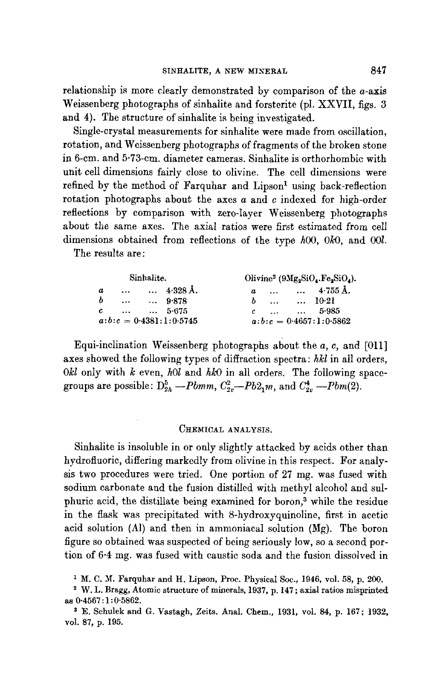relationship is more clearly demonstrated by comparison of the *a*-axis Weissenberg photographs of sinhalite and forsterite (pl. XXVII, figs. 3 and 4). The structure of sinhalite is being investigated.

Single-crystal measurements for sinhalite were made from oscillation, rotation, and Weissenberg photographs of fragments of the broken stone in 6-cm. and 5.73-cm. diameter cameras. Sinhalite is orthorhombic with unit cell dimensions fairly close to olivine. The cell dimensions were refined by the method of Farquhar and Lipson<sup>1</sup> using back-reflection rotation photographs about the axes  $a$  and  $c$  indexed for high-order reflections by comparison with zero-layer Weissenberg photographs about the same axes. The axial ratios were first estimated from cell dimensions obtained from reflections of the type  $h00$ ,  $0k0$ , and  $00l$ .

The results are:

|    |  | Sinhalite.                 | Olivine <sup>2</sup> ( $9Mg_2SiO_4.Fe_2SiO_4$ ). |  |  |                               |  |  |
|----|--|----------------------------|--------------------------------------------------|--|--|-------------------------------|--|--|
| a. |  | $\ldots$ $\ldots$ 4.328 Å. |                                                  |  |  | $a$ 4.755 Å.                  |  |  |
|    |  | $b$ 9.878                  |                                                  |  |  | $b$ 10.21                     |  |  |
|    |  | $c$ 5.675                  |                                                  |  |  | $c \quad  \quad  \quad 5.985$ |  |  |
|    |  | $a:b:c = 0.4381:1:0.5745$  |                                                  |  |  | $a:b:c = 0.4657:1:0.5862$     |  |  |

Equi-inclination Weissenberg photographs about the  $a, c,$  and [011] axes showed the following types of diffraction spectra: *hkl* in all orders,  $0kl$  only with  $k$  even,  $h0l$  and  $hk0$  in all orders. The following spacegroups are possible:  $D_{2h}^5$  --Pbmm,  $C_{2v}^2$ --Pb2<sub>1</sub>m, and  $C_{2v}^4$ --Pbm(2).

## CHEMICAL ANALYSIS.

Sinhalite is insoluble in or only slightly attacked by acids other than hydrofluoric, differing markedly from olivine in this respect. For analysis two procedures were tried. One portion of 27 mg. was fused with sodium carbonate and the fusion distilled with methyl alcohol and sulphuric acid, the distillate being examined for boron,<sup>3</sup> while the residue in the flask was precipitated with 8-hydroxyquinoline, first in acetic acid solution (Al) and then in ammoniacal solution (Mg). The boron figure so obtained was suspected of being seriously low, so a second portion of 6.4 mg. was fused with caustic soda and the fusion dissolved in

i M. C. M. Farquhar and H. Lipson, Proc. Physical Soc., 1946, vol. 58, p. 200.

<sup>2</sup> W.L. Bragg, Atomic structure of minerals, 1937, p. 147 ; axial ratios misprinted as 0.4567 : 1 : 0.5862.

s E. Schulek and G. Vastagh, Zeits. Anal. Chem., 1931, vol. 84, p. 167; 1932, vol. 87, p. 195.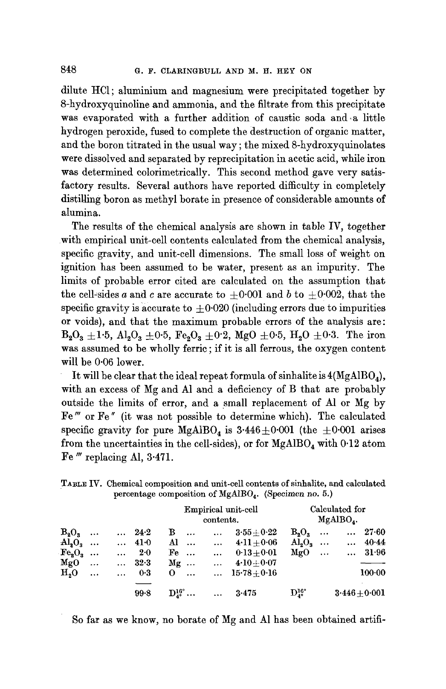dilute HC1; aluminium and magnesium were precipitated together by 8-hydroxyquinoline and ammonia, and the filtrate from this precipitate was evaporated with a further addition of caustic soda and a little hydrogen peroxide, fused to complete the destruction of organic matter, and the boron titrated in the usual way ; the mixed 8-hydroxyquinolates were dissolved and separated by reprecipitation in acetic acid, while iron was determined colorimetrically. This second method gave very satisfactory results. Several authors have reported difficulty in completely distilling boron as methyl borate in presence of considerable amounts of alumina.

The results of the chemical analysis are shown in table IV, together with empirical unit-cell contents calculated from the chemical analysis, specific gravity, and unit-cell dimensions. The small loss of weight on ignition has been assumed to be water, present as an impurity. The limits of probable error cited are calculated on the assumption that the cell-sides a and c are accurate to  $\pm 0.001$  and b to  $\pm 0.002$ , that the specific gravity is accurate to  $\pm 0.020$  (including errors due to impurities or voids), and that the maximum probable errors of the analysis are:  $B_2O_3 \pm 1.5$ ,  $Al_2O_3 \pm 0.5$ ,  $Fe_2O_3 \pm 0.2$ ,  $MgO \pm 0.5$ ,  $H_2O \pm 0.3$ . The iron was assumed to be wholly ferric ; if it is all ferrous, the oxygen content will be 0.06 lower.

It will be clear that the ideal repeat formula of sinhalite is  $4(MgAlBO<sub>a</sub>)$ , with an excess of Mg and A1 and a deficiency of B that are probably outside the limits of error, and a small replacement of A1 or Mg by Fe" or Fe" (it was not possible to determine which). The calculated specific gravity for pure  $MgAlBO<sub>4</sub>$  is 3.446 $\pm$ 0.001 (the  $\pm$ 0.001 arises from the uncertainties in the cell-sides), or for  $MgAlBO<sub>4</sub>$  with 0.12 atom Fe<sup>"</sup> replacing Al, 3.471.

TABLE IV. Chemical composition and unit-cell contents of sinhalite, and calculated percentage composition of MgAlBO<sub>4</sub>. (Specimen no. 5.)

|                         |           |           |               |                        |                                         | contents. | Empirical unit-cell   | Calculated for<br>$MgAlBO$ . |  |          |                 |
|-------------------------|-----------|-----------|---------------|------------------------|-----------------------------------------|-----------|-----------------------|------------------------------|--|----------|-----------------|
| $B_2O_2$                |           |           | $\ldots$ 24.2 | в                      | $\cdots$                                | $\cdots$  | $3.55 + 0.22$         | $B_2O_3$                     |  | $\cdots$ | $27 - 60$       |
| $\text{Al}_2\text{O}_3$ |           |           | $\cdots$ 41.0 |                        | Al <i>.</i>                             | $\cdots$  | $4.11 + 0.06$         | $\text{Al}_3\text{O}_3$      |  |          | $\cdots$ 40.44  |
| $\text{Fe}_2\text{O}_3$ |           | $\cdots$  | 2.0           | $\mathbf{F}\mathbf{e}$ |                                         | $\cdots$  | $0.13+0.01$           | $MgO$                        |  |          | $\ldots$ 31.96  |
| $_{\text{MgO}}$         | $\ddotsc$ |           | $\ldots$ 32.3 | $Mg \dots$             |                                         | $\cdots$  | $4.10 + 0.07$         |                              |  |          |                 |
| H <sub>o</sub> O        | $\cdots$  | $\ddotsc$ | 0.3           | $\mathbf{O}$           |                                         |           | $\ldots$ 15.78 + 0.16 |                              |  |          | $100 - 00$      |
|                         |           |           | 99.8          |                        | $\mathrm{D}^{16^\circ}_{4^\circ} \dots$ | $\cdots$  | 3.475                 | $\mathrm{D}_4^{16^\circ}$    |  |          | $3.446 + 0.001$ |

So far as we know, no borate of Mg and A1 has been obtained artifi-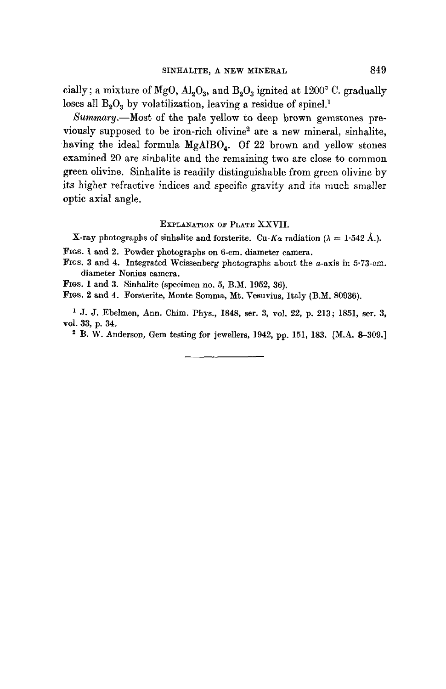cially; a mixture of MgO,  $\text{Al}_2\text{O}_3$ , and  $\text{B}_2\text{O}_3$  ignited at 1200° C. gradually loses all  $B_2O_3$  by volatilization, leaving a residue of spinel.<sup>1</sup>

*Summary.--Most* of the pale yellow to deep brown gemstones previously supposed to be iron-rich olivine<sup>2</sup> are a new mineral, sinhalite, having the ideal formula  $MgAlBO<sub>4</sub>$ . Of 22 brown and yellow stones examined 20 are sinhalite and the remaining two are close to common green olivine. Sinhalite is readily distinguishable from green olivine by its higher refractive indices and specific gravity and its much smaller optic axial angle.

#### EXPLANATION OF PLATE XXVII.

X-ray photographs of sinhalite and forsterite. Cu-K<sub> $\alpha$ </sub> radiation ( $\lambda = 1.542$  Å.).

FIGs. 1 and 2. Powder photographs on 6-cm. diameter camera.

FIGs. 3 and 4. Integrated Weissenberg photographs about the a-axis in 5-73-em. diameter Nonius camera.

FIGS. 1 and 3. Sinhalite (specimen no. 5, B.M. 1952, 36).

FIGs. 2 and 4. Forsterite, Monte Somma, Mr. Vesuvius, Italy (B.M. 80936).

<sup>1</sup> J. J. Ebelmen, Ann. Chim. Phys., 1848, ser. 3, vol. 22, p. 213; 1851, ser. 3, vol. 33, p. 34.

2 B. W. Anderson, Gem testing for jewellers, 1942, pp. 151, 183. [M.A. 8-309.]